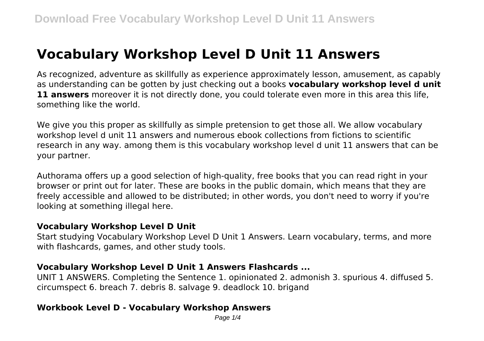# **Vocabulary Workshop Level D Unit 11 Answers**

As recognized, adventure as skillfully as experience approximately lesson, amusement, as capably as understanding can be gotten by just checking out a books **vocabulary workshop level d unit 11 answers** moreover it is not directly done, you could tolerate even more in this area this life, something like the world.

We give you this proper as skillfully as simple pretension to get those all. We allow vocabulary workshop level d unit 11 answers and numerous ebook collections from fictions to scientific research in any way. among them is this vocabulary workshop level d unit 11 answers that can be your partner.

Authorama offers up a good selection of high-quality, free books that you can read right in your browser or print out for later. These are books in the public domain, which means that they are freely accessible and allowed to be distributed; in other words, you don't need to worry if you're looking at something illegal here.

#### **Vocabulary Workshop Level D Unit**

Start studying Vocabulary Workshop Level D Unit 1 Answers. Learn vocabulary, terms, and more with flashcards, games, and other study tools.

#### **Vocabulary Workshop Level D Unit 1 Answers Flashcards ...**

UNIT 1 ANSWERS. Completing the Sentence 1. opinionated 2. admonish 3. spurious 4. diffused 5. circumspect 6. breach 7. debris 8. salvage 9. deadlock 10. brigand

# **Workbook Level D - Vocabulary Workshop Answers**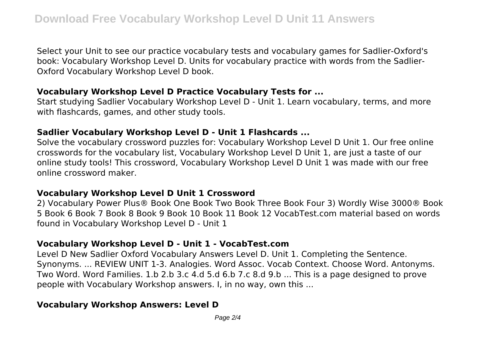Select your Unit to see our practice vocabulary tests and vocabulary games for Sadlier-Oxford's book: Vocabulary Workshop Level D. Units for vocabulary practice with words from the Sadlier-Oxford Vocabulary Workshop Level D book.

#### **Vocabulary Workshop Level D Practice Vocabulary Tests for ...**

Start studying Sadlier Vocabulary Workshop Level D - Unit 1. Learn vocabulary, terms, and more with flashcards, games, and other study tools.

## **Sadlier Vocabulary Workshop Level D - Unit 1 Flashcards ...**

Solve the vocabulary crossword puzzles for: Vocabulary Workshop Level D Unit 1. Our free online crosswords for the vocabulary list, Vocabulary Workshop Level D Unit 1, are just a taste of our online study tools! This crossword, Vocabulary Workshop Level D Unit 1 was made with our free online crossword maker.

# **Vocabulary Workshop Level D Unit 1 Crossword**

2) Vocabulary Power Plus® Book One Book Two Book Three Book Four 3) Wordly Wise 3000® Book 5 Book 6 Book 7 Book 8 Book 9 Book 10 Book 11 Book 12 VocabTest.com material based on words found in Vocabulary Workshop Level D - Unit 1

# **Vocabulary Workshop Level D - Unit 1 - VocabTest.com**

Level D New Sadlier Oxford Vocabulary Answers Level D. Unit 1. Completing the Sentence. Synonyms. ... REVIEW UNIT 1-3. Analogies. Word Assoc. Vocab Context. Choose Word. Antonyms. Two Word. Word Families. 1.b 2.b 3.c 4.d 5.d 6.b 7.c 8.d 9.b ... This is a page designed to prove people with Vocabulary Workshop answers. I, in no way, own this ...

# **Vocabulary Workshop Answers: Level D**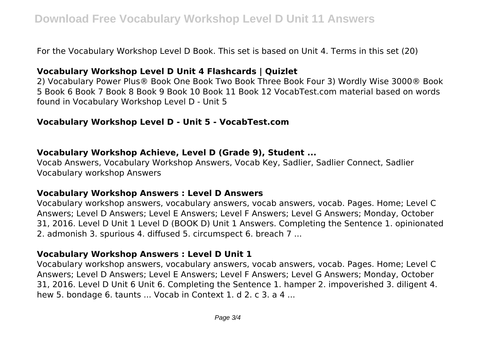For the Vocabulary Workshop Level D Book. This set is based on Unit 4. Terms in this set (20)

#### **Vocabulary Workshop Level D Unit 4 Flashcards | Quizlet**

2) Vocabulary Power Plus® Book One Book Two Book Three Book Four 3) Wordly Wise 3000® Book 5 Book 6 Book 7 Book 8 Book 9 Book 10 Book 11 Book 12 VocabTest.com material based on words found in Vocabulary Workshop Level D - Unit 5

#### **Vocabulary Workshop Level D - Unit 5 - VocabTest.com**

#### **Vocabulary Workshop Achieve, Level D (Grade 9), Student ...**

Vocab Answers, Vocabulary Workshop Answers, Vocab Key, Sadlier, Sadlier Connect, Sadlier Vocabulary workshop Answers

#### **Vocabulary Workshop Answers : Level D Answers**

Vocabulary workshop answers, vocabulary answers, vocab answers, vocab. Pages. Home; Level C Answers; Level D Answers; Level E Answers; Level F Answers; Level G Answers; Monday, October 31, 2016. Level D Unit 1 Level D (BOOK D) Unit 1 Answers. Completing the Sentence 1. opinionated 2. admonish 3. spurious 4. diffused 5. circumspect 6. breach 7 ...

#### **Vocabulary Workshop Answers : Level D Unit 1**

Vocabulary workshop answers, vocabulary answers, vocab answers, vocab. Pages. Home; Level C Answers; Level D Answers; Level E Answers; Level F Answers; Level G Answers; Monday, October 31, 2016. Level D Unit 6 Unit 6. Completing the Sentence 1. hamper 2. impoverished 3. diligent 4. hew 5. bondage 6. taunts ... Vocab in Context 1. d 2. c 3. a 4 ...